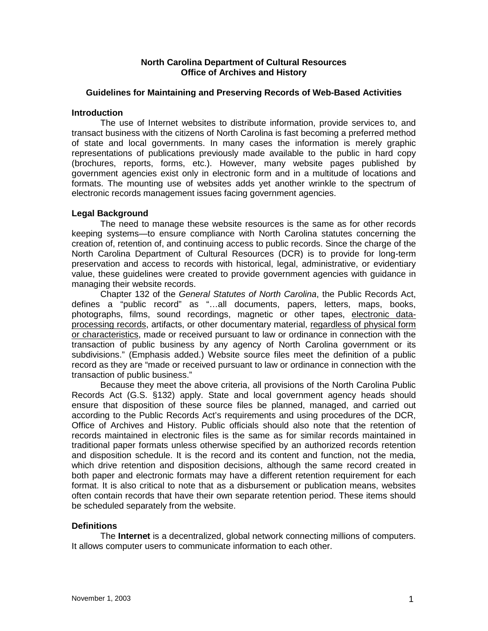### **North Carolina Department of Cultural Resources Office of Archives and History**

### **Guidelines for Maintaining and Preserving Records of Web-Based Activities**

#### **Introduction**

The use of Internet websites to distribute information, provide services to, and transact business with the citizens of North Carolina is fast becoming a preferred method of state and local governments. In many cases the information is merely graphic representations of publications previously made available to the public in hard copy (brochures, reports, forms, etc.). However, many website pages published by government agencies exist only in electronic form and in a multitude of locations and formats. The mounting use of websites adds yet another wrinkle to the spectrum of electronic records management issues facing government agencies.

### **Legal Background**

The need to manage these website resources is the same as for other records keeping systems—to ensure compliance with North Carolina statutes concerning the creation of, retention of, and continuing access to public records. Since the charge of the North Carolina Department of Cultural Resources (DCR) is to provide for long-term preservation and access to records with historical, legal, administrative, or evidentiary value, these guidelines were created to provide government agencies with guidance in managing their website records.

Chapter 132 of the *General Statutes of North Carolina*, the Public Records Act, defines a "public record" as "…all documents, papers, letters, maps, books, photographs, films, sound recordings, magnetic or other tapes, electronic dataprocessing records, artifacts, or other documentary material, regardless of physical form or characteristics, made or received pursuant to law or ordinance in connection with the transaction of public business by any agency of North Carolina government or its subdivisions." (Emphasis added.) Website source files meet the definition of a public record as they are "made or received pursuant to law or ordinance in connection with the transaction of public business."

Because they meet the above criteria, all provisions of the North Carolina Public Records Act (G.S. §132) apply. State and local government agency heads should ensure that disposition of these source files be planned, managed, and carried out according to the Public Records Act's requirements and using procedures of the DCR, Office of Archives and History. Public officials should also note that the retention of records maintained in electronic files is the same as for similar records maintained in traditional paper formats unless otherwise specified by an authorized records retention and disposition schedule. It is the record and its content and function, not the media, which drive retention and disposition decisions, although the same record created in both paper and electronic formats may have a different retention requirement for each format. It is also critical to note that as a disbursement or publication means, websites often contain records that have their own separate retention period. These items should be scheduled separately from the website.

### **Definitions**

The **Internet** is a decentralized, global network connecting millions of computers. It allows computer users to communicate information to each other.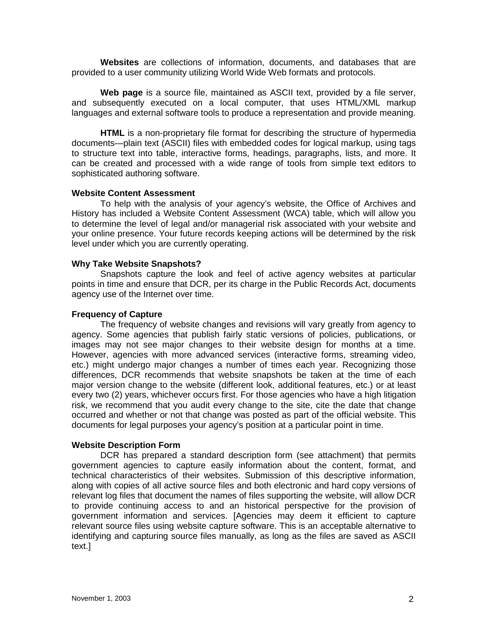**Websites** are collections of information, documents, and databases that are provided to a user community utilizing World Wide Web formats and protocols.

**Web page** is a source file, maintained as ASCII text, provided by a file server, and subsequently executed on a local computer, that uses HTML/XML markup languages and external software tools to produce a representation and provide meaning.

**HTML** is a non-proprietary file format for describing the structure of hypermedia documents—plain text (ASCII) files with embedded codes for logical markup, using tags to structure text into table, interactive forms, headings, paragraphs, lists, and more. It can be created and processed with a wide range of tools from simple text editors to sophisticated authoring software.

## **Website Content Assessment**

To help with the analysis of your agency's website, the Office of Archives and History has included a Website Content Assessment (WCA) table, which will allow you to determine the level of legal and/or managerial risk associated with your website and your online presence. Your future records keeping actions will be determined by the risk level under which you are currently operating.

## **Why Take Website Snapshots?**

Snapshots capture the look and feel of active agency websites at particular points in time and ensure that DCR, per its charge in the Public Records Act, documents agency use of the Internet over time.

## **Frequency of Capture**

The frequency of website changes and revisions will vary greatly from agency to agency. Some agencies that publish fairly static versions of policies, publications, or images may not see major changes to their website design for months at a time. However, agencies with more advanced services (interactive forms, streaming video, etc.) might undergo major changes a number of times each year. Recognizing those differences, DCR recommends that website snapshots be taken at the time of each major version change to the website (different look, additional features, etc.) or at least every two (2) years, whichever occurs first. For those agencies who have a high litigation risk, we recommend that you audit every change to the site, cite the date that change occurred and whether or not that change was posted as part of the official website. This documents for legal purposes your agency's position at a particular point in time.

# **Website Description Form**

DCR has prepared a standard description form (see attachment) that permits government agencies to capture easily information about the content, format, and technical characteristics of their websites. Submission of this descriptive information, along with copies of all active source files and both electronic and hard copy versions of relevant log files that document the names of files supporting the website, will allow DCR to provide continuing access to and an historical perspective for the provision of government information and services. [Agencies may deem it efficient to capture relevant source files using website capture software. This is an acceptable alternative to identifying and capturing source files manually, as long as the files are saved as ASCII text.]